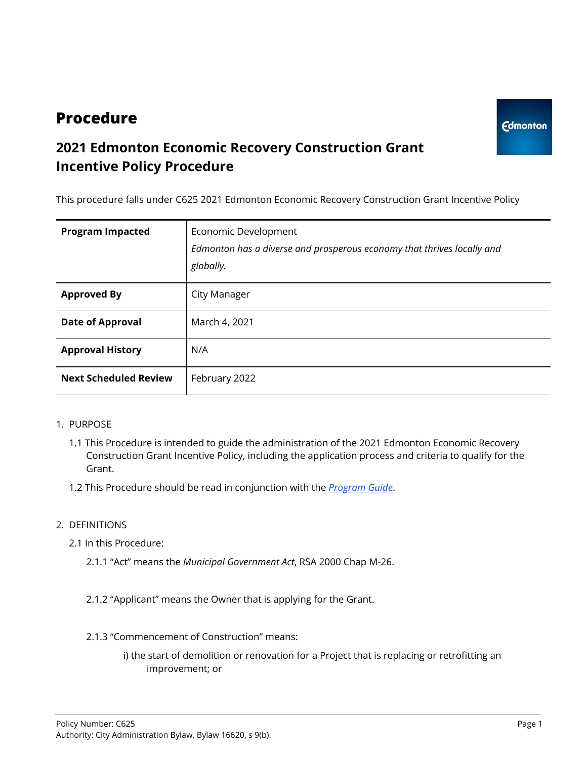# **Procedure**

## **2021 Edmonton Economic Recovery Construction Grant Incentive Policy Procedure**

This procedure falls under C625 2021 Edmonton Economic Recovery Construction Grant Incentive Policy

| <b>Program Impacted</b>      | Economic Development<br>Edmonton has a diverse and prosperous economy that thrives locally and<br>globally. |
|------------------------------|-------------------------------------------------------------------------------------------------------------|
| <b>Approved By</b>           | City Manager                                                                                                |
| <b>Date of Approval</b>      | March 4, 2021                                                                                               |
| <b>Approval History</b>      | N/A                                                                                                         |
| <b>Next Scheduled Review</b> | February 2022                                                                                               |

## 1. PURPOSE

- 1.1 This Procedure is intended to guide the administration of the 2021 Edmonton Economic Recovery Construction Grant Incentive Policy, including the application process and criteria to qualify for the Grant.
- 1.2 This Procedure should be read in conjunction with the *[Program](https://www.edmonton.ca/programs_services/documents/EconomicIncentiveConstructionGrant-ProgramGuide.pdf) Guide*.

## 2. DEFINITIONS

- 2.1 In this Procedure:
	- 2.1.1 "Act" means the *Municipal Government Act*, RSA 2000 Chap M-26.
	- 2.1.2 "Applicant" means the Owner that is applying for the Grant.
	- 2.1.3 "Commencement of Construction" means:
		- i) the start of demolition or renovation for a Project that is replacing or retrofitting an improvement; or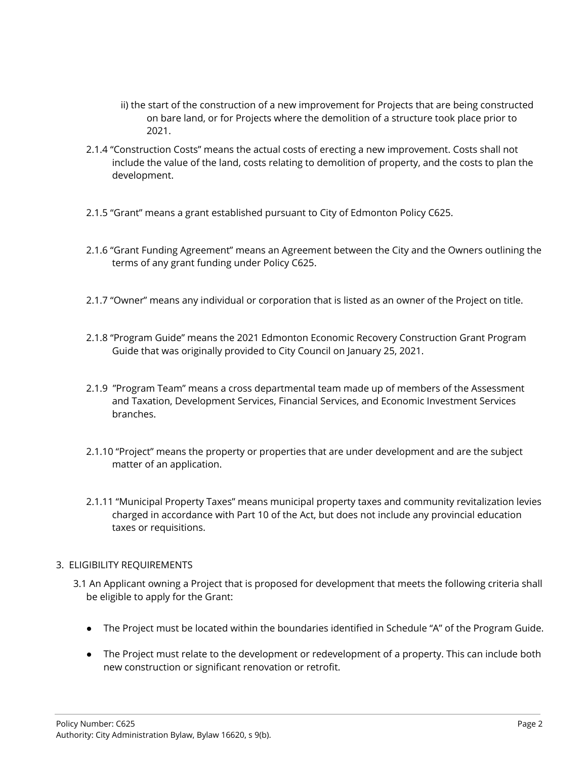- ii) the start of the construction of a new improvement for Projects that are being constructed on bare land, or for Projects where the demolition of a structure took place prior to 2021.
- 2.1.4 "Construction Costs" means the actual costs of erecting a new improvement. Costs shall not include the value of the land, costs relating to demolition of property, and the costs to plan the development.
- 2.1.5 "Grant" means a grant established pursuant to City of Edmonton Policy C625.
- 2.1.6 "Grant Funding Agreement" means an Agreement between the City and the Owners outlining the terms of any grant funding under Policy C625.
- 2.1.7 "Owner" means any individual or corporation that is listed as an owner of the Project on title.
- 2.1.8 "Program Guide" means the 2021 Edmonton Economic Recovery Construction Grant Program Guide that was originally provided to City Council on January 25, 2021.
- 2.1.9 "Program Team" means a cross departmental team made up of members of the Assessment and Taxation, Development Services, Financial Services, and Economic Investment Services branches.
- 2.1.10 "Project" means the property or properties that are under development and are the subject matter of an application.
- 2.1.11 "Municipal Property Taxes" means municipal property taxes and community revitalization levies charged in accordance with Part 10 of the Act, but does not include any provincial education taxes or requisitions.

#### 3. ELIGIBILITY REQUIREMENTS

- 3.1 An Applicant owning a Project that is proposed for development that meets the following criteria shall be eligible to apply for the Grant:
	- The Project must be located within the boundaries identified in Schedule "A" of the Program Guide.
	- The Project must relate to the development or redevelopment of a property. This can include both new construction or significant renovation or retrofit.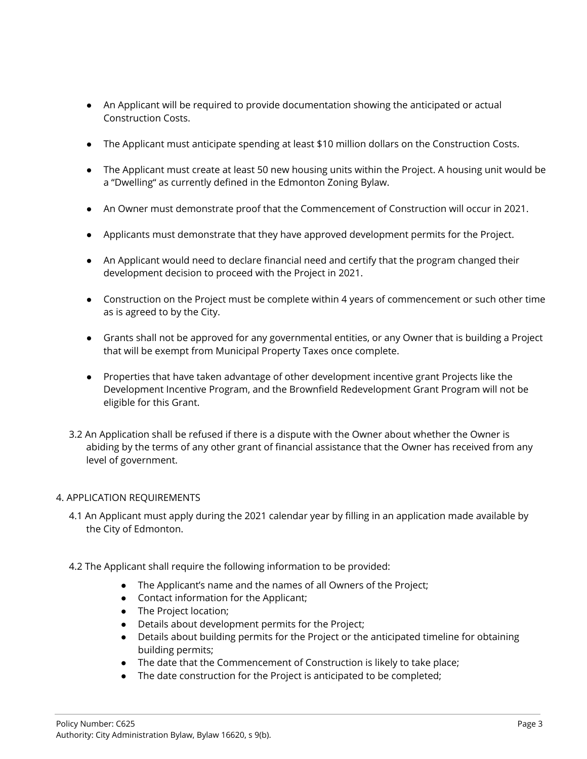- An Applicant will be required to provide documentation showing the anticipated or actual Construction Costs.
- The Applicant must anticipate spending at least \$10 million dollars on the Construction Costs.
- The Applicant must create at least 50 new housing units within the Project. A housing unit would be a "Dwelling" as currently defined in the Edmonton Zoning Bylaw.
- An Owner must demonstrate proof that the Commencement of Construction will occur in 2021.
- Applicants must demonstrate that they have approved development permits for the Project.
- An Applicant would need to declare financial need and certify that the program changed their development decision to proceed with the Project in 2021.
- Construction on the Project must be complete within 4 years of commencement or such other time as is agreed to by the City.
- Grants shall not be approved for any governmental entities, or any Owner that is building a Project that will be exempt from Municipal Property Taxes once complete.
- Properties that have taken advantage of other development incentive grant Projects like the Development Incentive Program, and the Brownfield Redevelopment Grant Program will not be eligible for this Grant.
- 3.2 An Application shall be refused if there is a dispute with the Owner about whether the Owner is abiding by the terms of any other grant of financial assistance that the Owner has received from any level of government.

## 4. APPLICATION REQUIREMENTS

- 4.1 An Applicant must apply during the 2021 calendar year by filling in an application made available by the City of Edmonton.
- 4.2 The Applicant shall require the following information to be provided:
	- The Applicant's name and the names of all Owners of the Project;
	- Contact information for the Applicant;
	- The Project location;
	- Details about development permits for the Project;
	- Details about building permits for the Project or the anticipated timeline for obtaining building permits;
	- The date that the Commencement of Construction is likely to take place;
	- The date construction for the Project is anticipated to be completed;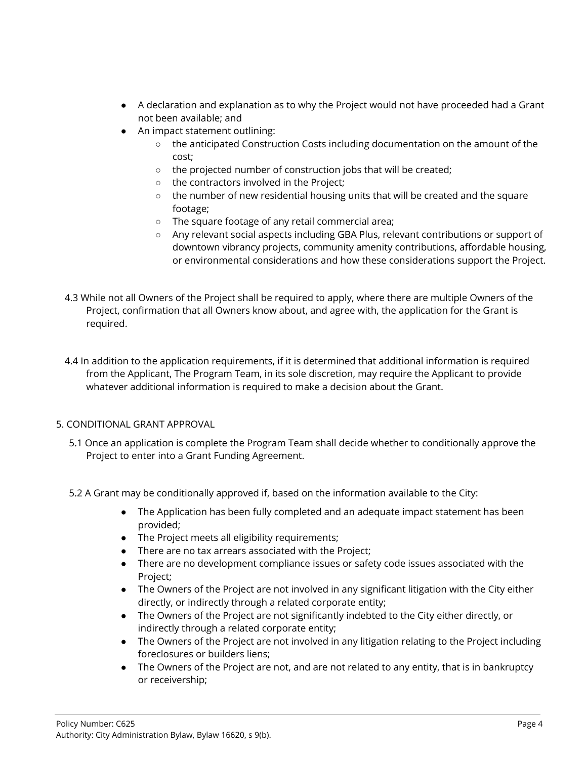- A declaration and explanation as to why the Project would not have proceeded had a Grant not been available; and
- An impact statement outlining:
	- the anticipated Construction Costs including documentation on the amount of the cost;
	- the projected number of construction jobs that will be created;
	- the contractors involved in the Project;
	- $\circ$  the number of new residential housing units that will be created and the square footage;
	- The square footage of any retail commercial area;
	- Any relevant social aspects including GBA Plus, relevant contributions or support of downtown vibrancy projects, community amenity contributions, affordable housing, or environmental considerations and how these considerations support the Project.
- 4.3 While not all Owners of the Project shall be required to apply, where there are multiple Owners of the Project, confirmation that all Owners know about, and agree with, the application for the Grant is required.

4.4 In addition to the application requirements, if it is determined that additional information is required from the Applicant, The Program Team, in its sole discretion, may require the Applicant to provide whatever additional information is required to make a decision about the Grant.

## 5. CONDITIONAL GRANT APPROVAL

- 5.1 Once an application is complete the Program Team shall decide whether to conditionally approve the Project to enter into a Grant Funding Agreement.
- 5.2 A Grant may be conditionally approved if, based on the information available to the City:
	- The Application has been fully completed and an adequate impact statement has been provided;
	- The Project meets all eligibility requirements;
	- There are no tax arrears associated with the Project;
	- There are no development compliance issues or safety code issues associated with the Project;
	- The Owners of the Project are not involved in any significant litigation with the City either directly, or indirectly through a related corporate entity;
	- The Owners of the Project are not significantly indebted to the City either directly, or indirectly through a related corporate entity;
	- The Owners of the Project are not involved in any litigation relating to the Project including foreclosures or builders liens;
	- The Owners of the Project are not, and are not related to any entity, that is in bankruptcy or receivership;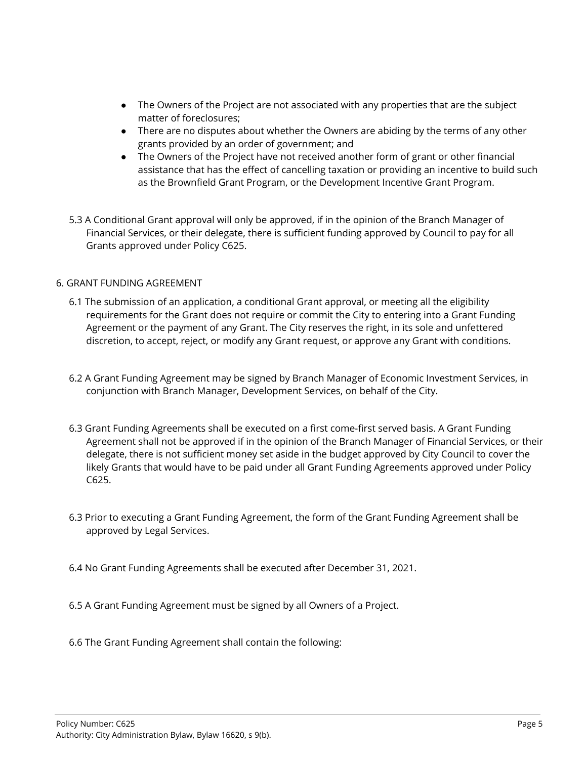- The Owners of the Project are not associated with any properties that are the subject matter of foreclosures;
- There are no disputes about whether the Owners are abiding by the terms of any other grants provided by an order of government; and
- The Owners of the Project have not received another form of grant or other financial assistance that has the effect of cancelling taxation or providing an incentive to build such as the Brownfield Grant Program, or the Development Incentive Grant Program.
- 5.3 A Conditional Grant approval will only be approved, if in the opinion of the Branch Manager of Financial Services, or their delegate, there is sufficient funding approved by Council to pay for all Grants approved under Policy C625.

## 6. GRANT FUNDING AGREEMENT

- 6.1 The submission of an application, a conditional Grant approval, or meeting all the eligibility requirements for the Grant does not require or commit the City to entering into a Grant Funding Agreement or the payment of any Grant. The City reserves the right, in its sole and unfettered discretion, to accept, reject, or modify any Grant request, or approve any Grant with conditions.
- 6.2 A Grant Funding Agreement may be signed by Branch Manager of Economic Investment Services, in conjunction with Branch Manager, Development Services, on behalf of the City.
- 6.3 Grant Funding Agreements shall be executed on a first come-first served basis. A Grant Funding Agreement shall not be approved if in the opinion of the Branch Manager of Financial Services, or their delegate, there is not sufficient money set aside in the budget approved by City Council to cover the likely Grants that would have to be paid under all Grant Funding Agreements approved under Policy C625.
- 6.3 Prior to executing a Grant Funding Agreement, the form of the Grant Funding Agreement shall be approved by Legal Services.
- 6.4 No Grant Funding Agreements shall be executed after December 31, 2021.
- 6.5 A Grant Funding Agreement must be signed by all Owners of a Project.
- 6.6 The Grant Funding Agreement shall contain the following: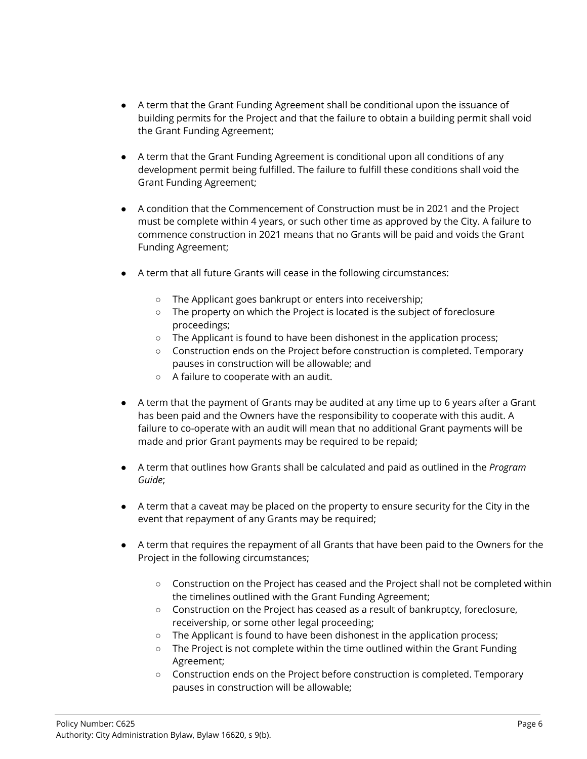- A term that the Grant Funding Agreement shall be conditional upon the issuance of building permits for the Project and that the failure to obtain a building permit shall void the Grant Funding Agreement;
- A term that the Grant Funding Agreement is conditional upon all conditions of any development permit being fulfilled. The failure to fulfill these conditions shall void the Grant Funding Agreement;
- A condition that the Commencement of Construction must be in 2021 and the Project must be complete within 4 years, or such other time as approved by the City. A failure to commence construction in 2021 means that no Grants will be paid and voids the Grant Funding Agreement;
- A term that all future Grants will cease in the following circumstances:
	- The Applicant goes bankrupt or enters into receivership;
	- The property on which the Project is located is the subject of foreclosure proceedings;
	- The Applicant is found to have been dishonest in the application process;
	- Construction ends on the Project before construction is completed. Temporary pauses in construction will be allowable; and
	- A failure to cooperate with an audit.
- A term that the payment of Grants may be audited at any time up to 6 years after a Grant has been paid and the Owners have the responsibility to cooperate with this audit. A failure to co-operate with an audit will mean that no additional Grant payments will be made and prior Grant payments may be required to be repaid;
- A term that outlines how Grants shall be calculated and paid as outlined in the *Program Guide*;
- A term that a caveat may be placed on the property to ensure security for the City in the event that repayment of any Grants may be required;
- A term that requires the repayment of all Grants that have been paid to the Owners for the Project in the following circumstances;
	- Construction on the Project has ceased and the Project shall not be completed within the timelines outlined with the Grant Funding Agreement;
	- Construction on the Project has ceased as a result of bankruptcy, foreclosure, receivership, or some other legal proceeding;
	- The Applicant is found to have been dishonest in the application process;
	- The Project is not complete within the time outlined within the Grant Funding Agreement;
	- Construction ends on the Project before construction is completed. Temporary pauses in construction will be allowable;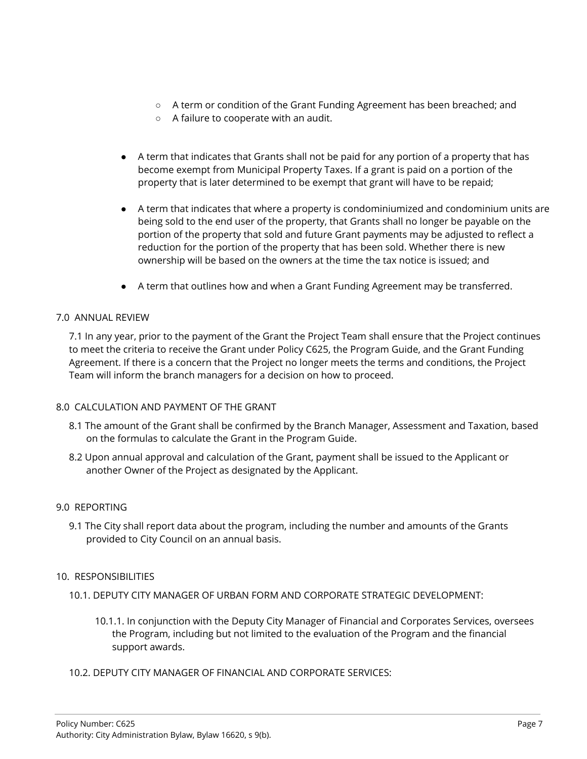- A term or condition of the Grant Funding Agreement has been breached; and
- A failure to cooperate with an audit.
- A term that indicates that Grants shall not be paid for any portion of a property that has become exempt from Municipal Property Taxes. If a grant is paid on a portion of the property that is later determined to be exempt that grant will have to be repaid;
- A term that indicates that where a property is condominiumized and condominium units are being sold to the end user of the property, that Grants shall no longer be payable on the portion of the property that sold and future Grant payments may be adjusted to reflect a reduction for the portion of the property that has been sold. Whether there is new ownership will be based on the owners at the time the tax notice is issued; and
- A term that outlines how and when a Grant Funding Agreement may be transferred.

#### 7.0 ANNUAL REVIEW

7.1 In any year, prior to the payment of the Grant the Project Team shall ensure that the Project continues to meet the criteria to receive the Grant under Policy C625, the Program Guide, and the Grant Funding Agreement. If there is a concern that the Project no longer meets the terms and conditions, the Project Team will inform the branch managers for a decision on how to proceed.

#### 8.0 CALCULATION AND PAYMENT OF THE GRANT

- 8.1 The amount of the Grant shall be confirmed by the Branch Manager, Assessment and Taxation, based on the formulas to calculate the Grant in the Program Guide.
- 8.2 Upon annual approval and calculation of the Grant, payment shall be issued to the Applicant or another Owner of the Project as designated by the Applicant.

#### 9.0 REPORTING

9.1 The City shall report data about the program, including the number and amounts of the Grants provided to City Council on an annual basis.

## 10. RESPONSIBILITIES

- 10.1. DEPUTY CITY MANAGER OF URBAN FORM AND CORPORATE STRATEGIC DEVELOPMENT:
	- 10.1.1. In conjunction with the Deputy City Manager of Financial and Corporates Services, oversees the Program, including but not limited to the evaluation of the Program and the financial support awards.
- 10.2. DEPUTY CITY MANAGER OF FINANCIAL AND CORPORATE SERVICES: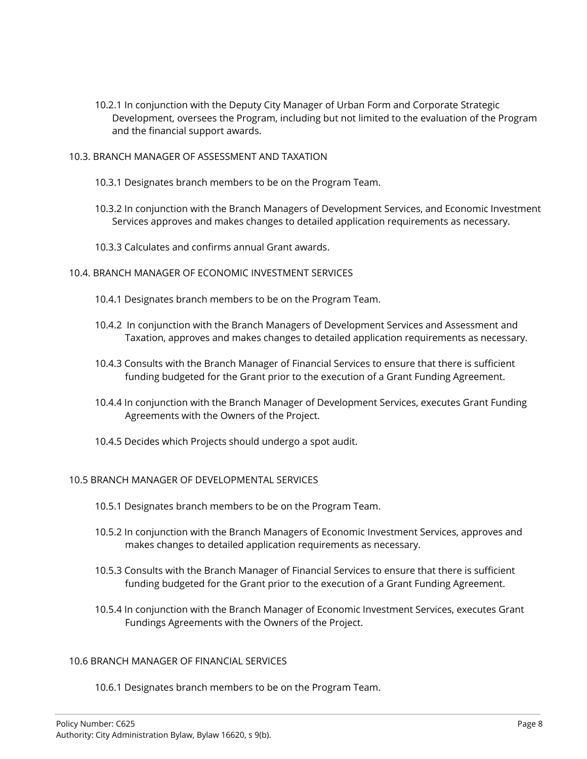- 10.2.1 In conjunction with the Deputy City Manager of Urban Form and Corporate Strategic Development, oversees the Program, including but not limited to the evaluation of the Program and the financial support awards.
- 10.3. BRANCH MANAGER OF ASSESSMENT AND TAXATION
	- 10.3.1 Designates branch members to be on the Program Team.
	- 10.3.2 In conjunction with the Branch Managers of Development Services, and Economic Investment Services approves and makes changes to detailed application requirements as necessary.
	- 10.3.3 Calculates and confirms annual Grant awards.

#### 10.4. BRANCH MANAGER OF ECONOMIC INVESTMENT SERVICES

- 10.4.1 Designates branch members to be on the Program Team.
- 10.4.2 In conjunction with the Branch Managers of Development Services and Assessment and Taxation, approves and makes changes to detailed application requirements as necessary.
- 10.4.3 Consults with the Branch Manager of Financial Services to ensure that there is sufficient funding budgeted for the Grant prior to the execution of a Grant Funding Agreement.
- 10.4.4 In conjunction with the Branch Manager of Development Services, executes Grant Funding Agreements with the Owners of the Project.
- 10.4.5 Decides which Projects should undergo a spot audit.

#### 10.5 BRANCH MANAGER OF DEVELOPMENTAL SERVICES

- 10.5.1 Designates branch members to be on the Program Team.
- 10.5.2 In conjunction with the Branch Managers of Economic Investment Services, approves and makes changes to detailed application requirements as necessary.
- 10.5.3 Consults with the Branch Manager of Financial Services to ensure that there is sufficient funding budgeted for the Grant prior to the execution of a Grant Funding Agreement.
- 10.5.4 In conjunction with the Branch Manager of Economic Investment Services, executes Grant Fundings Agreements with the Owners of the Project.

#### 10.6 BRANCH MANAGER OF FINANCIAL SERVICES

10.6.1 Designates branch members to be on the Program Team.